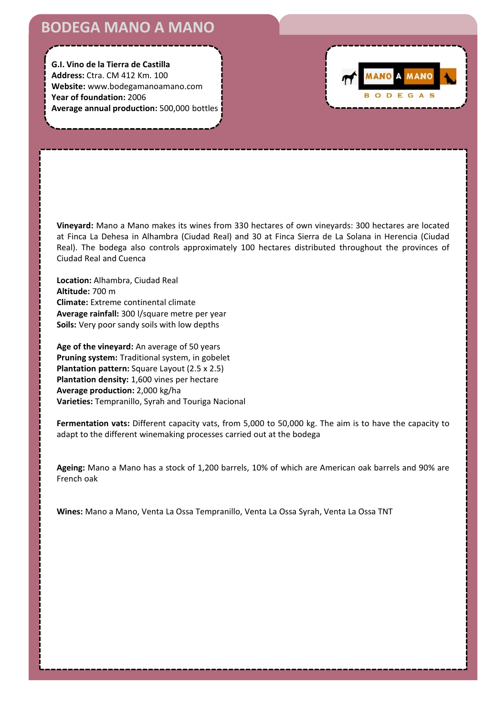# **BODEGA MANO A MANO**

**G.I. Vino de la Tierra de Castilla Address:** Ctra. CM 412 Km. 100 **Website:** www.bodegamanoamano.com **Year of foundation:** 2006 **Average annual production:** 500,000 bottles



**Vineyard:** Mano a Mano makes its wines from 330 hectares of own vineyards: 300 hectares are located at Finca La Dehesa in Alhambra (Ciudad Real) and 30 at Finca Sierra de La Solana in Herencia (Ciudad Real). The bodega also controls approximately 100 hectares distributed throughout the provinces of Ciudad Real and Cuenca

**Location:** Alhambra, Ciudad Real **Altitude:** 700 m **Climate:** Extreme continental climate **Average rainfall:** 300 l/square metre per year **Soils:** Very poor sandy soils with low depths

**Age of the vineyard:** An average of 50 years **Pruning system:** Traditional system, in gobelet **Plantation pattern:** Square Layout (2.5 x 2.5) **Plantation density:** 1,600 vines per hectare **Average production:** 2,000 kg/ha **Varieties:** Tempranillo, Syrah and Touriga Nacional

**Fermentation vats:** Different capacity vats, from 5,000 to 50,000 kg. The aim is to have the capacity to adapt to the different winemaking processes carried out at the bodega

**Ageing:** Mano a Mano has a stock of 1,200 barrels, 10% of which are American oak barrels and 90% are French oak

**Wines:** Mano a Mano, Venta La Ossa Tempranillo, Venta La Ossa Syrah, Venta La Ossa TNT